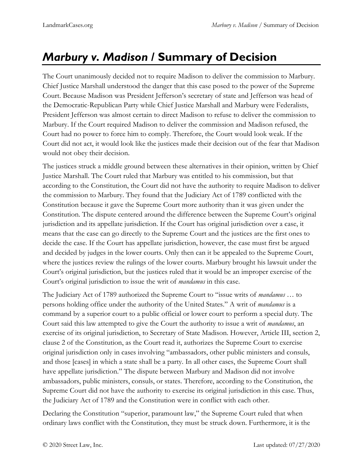## *Marbury v. Madison* **/ Summary of Decision**

The Court unanimously decided not to require Madison to deliver the commission to Marbury. Chief Justice Marshall understood the danger that this case posed to the power of the Supreme Court. Because Madison was President Jefferson's secretary of state and Jefferson was head of the Democratic-Republican Party while Chief Justice Marshall and Marbury were Federalists, President Jefferson was almost certain to direct Madison to refuse to deliver the commission to Marbury. If the Court required Madison to deliver the commission and Madison refused, the Court had no power to force him to comply. Therefore, the Court would look weak. If the Court did not act, it would look like the justices made their decision out of the fear that Madison would not obey their decision.

The justices struck a middle ground between these alternatives in their opinion, written by Chief Justice Marshall. The Court ruled that Marbury was entitled to his commission, but that according to the Constitution, the Court did not have the authority to require Madison to deliver the commission to Marbury. They found that the Judiciary Act of 1789 conflicted with the Constitution because it gave the Supreme Court more authority than it was given under the Constitution. The dispute centered around the difference between the Supreme Court's original jurisdiction and its appellate jurisdiction. If the Court has original jurisdiction over a case, it means that the case can go directly to the Supreme Court and the justices are the first ones to decide the case. If the Court has appellate jurisdiction, however, the case must first be argued and decided by judges in the lower courts. Only then can it be appealed to the Supreme Court, where the justices review the rulings of the lower courts. Marbury brought his lawsuit under the Court's original jurisdiction, but the justices ruled that it would be an improper exercise of the Court's original jurisdiction to issue the writ of *mandamus* in this case.

The Judiciary Act of 1789 authorized the Supreme Court to "issue writs of *mandamus* … to persons holding office under the authority of the United States." A writ of *mandamus* is a command by a superior court to a public official or lower court to perform a special duty. The Court said this law attempted to give the Court the authority to issue a writ of *mandamus*, an exercise of its original jurisdiction, to Secretary of State Madison. However, Article III, section 2, clause 2 of the Constitution, as the Court read it, authorizes the Supreme Court to exercise original jurisdiction only in cases involving "ambassadors, other public ministers and consuls, and those [cases] in which a state shall be a party. In all other cases, the Supreme Court shall have appellate jurisdiction." The dispute between Marbury and Madison did not involve ambassadors, public ministers, consuls, or states. Therefore, according to the Constitution, the Supreme Court did not have the authority to exercise its original jurisdiction in this case. Thus, the Judiciary Act of 1789 and the Constitution were in conflict with each other.

Declaring the Constitution "superior, paramount law," the Supreme Court ruled that when ordinary laws conflict with the Constitution, they must be struck down. Furthermore, it is the